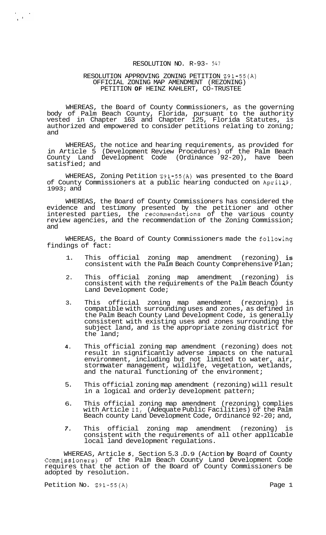# RESOLUTION NO. R-93- *<sup>547</sup>*

### RESOLUTION APPROVING ZONING PETITION Z91-55(A) OFFICIAL ZONING MAP AMENDMENT (REZONING) PETITION **OF** HEINZ KAHLERT, CO-TRUSTEE

WHEREAS, the Board of County Commissioners, as the governing body of Palm Beach County, Florida, pursuant to the authority vested in Chapter 163 and Chapter 125, Florida Statutes, is authorized and empowered to consider petitions relating to zoning; and

WHEREAS, the notice and hearing requirements, as provided for in Article 5 (Development Review Procedures) of the Palm Beach County Land Development Code (Ordinance 92-20), have been satisfied; and

WHEREAS, Zoning Petition Z91-55(A) was presented to the Board of County Commissioners at a public hearing conducted on April19, 1993; and

WHEREAS, the Board of County Commissioners has considered the evidence and testimony presented by the petitioner and other interested parties, the recommendations of the various county review agencies, and the recommendation of the Zoning Commission; and

WHEREAS, the Board of County Commissioners made the following findings of fact:

- 1. This official zoning map amendment (rezoning) is consistent with the Palm Beach County Comprehensive Plan;
- 2. This official zoning map amendment (rezoning) is consistent with the requirements of the Palm Beach County Land Development Code;
- 3. This official zoning map amendment (rezoning) is compatible with surrounding uses and zones, as defined in the Palm Beach County Land Development Code, is generally consistent with existing uses and zones surrounding the subject land, and is the appropriate zoning district for the land;
- **4.** This official zoning map amendment (rezoning) does not result in significantly adverse impacts on the natural environment, including but not limited to water, air, stormwater management, wildlife, vegetation, wetlands, and the natural functioning of the environment;
- 5. This official zoning map amendment (rezoning) will result in a logical and orderly development pattern;
- 6. This official zoning map amendment (rezoning) complies with Article **ll.,** (Adequate Public Facilities) of the Palm Beach county Land Development Code, Ordinance 92-20; and,
- *7.* This official zoning map amendment (rezoning) is consistent with the requirements of all other applicable local land development regulations.

WHEREAS, Article *5,* Section 5.3 .D. 9 (Action **by** Board of County Commissioners) of the Palm Beach County Land Development Code requires that the action of the Board of County Commissioners be adopted by resolution.

Petition No. 291-55(A) Petition No. 291-55(A)

 $\frac{1}{4} \left( \frac{1}{2} \right)^{2} \frac{1}{2} \left( \frac{1}{2} \right)^{2}$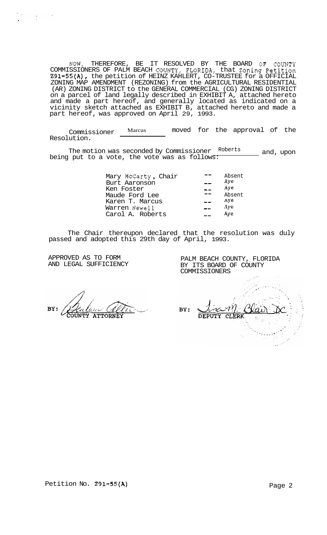NOW, THEREFORE, BE IT RESOLVED BY THE BOARD OF COUNTY COMMISSIONERS OF PALM BEACH COUNTY, FLORIDA, that Zoning Petition Z91-55(A), the petition of HEINZ KAHLERT, CO-TRUSTEE for a OFFICIAL ZONING MAP AMENDMENT (REZONING) from the AGRICULTURAL RESIDENTIAL (AR) ZONING DISTRICT to the GENERAL COMMERCIAL (CG) ZONING DISTRICT on a parcel of land legally described in EXHIBIT A, attached hereto and made a part hereof, and generally located as indicated on a vicinity sketch attached as EXHIBIT B, attached hereto and made a part hereof, was approved on April 29, 1993.

Commissioner Marcus moved for the approval of the Resolution.

The motion was seconded by Commissioner Roberts and, upon being put to a vote, the vote was as follows:

| Mary McCarty, Chair<br>Burt Aaronson<br>Ken Foster | Absent<br>Aye<br>Aye |
|----------------------------------------------------|----------------------|
| Maude Ford Lee                                     | Absent               |
| Karen T. Marcus                                    | Aye<br>Aye           |
| Warren Newell<br>Carol A. Roberts                  | Aye                  |

The Chair thereupon declared that the resolution was duly passed and adopted this 29th day of April, 1993.

APPROVED AS TO FORM AND LEGAL SUFFICIENCY PALM BEACH COUNTY, FLORIDA BY ITS BOARD OF COUNTY COMMISSIONERS

BY: **ATTORNEY** 

BY: **DEPUTY CLERK**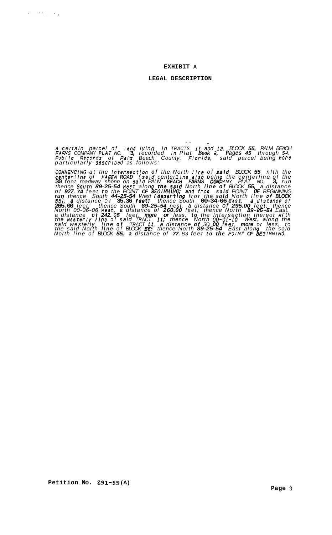#### **EXHIBIT A**

#### **LEGAL DESCRIPTION**

*<sup>A</sup>certain parcel of land lying In TRACTS ii and 12, BLOCK 55, PALM BEACH FARMS COMPANY PLAT NO.* **3,** *recorded In Plat Book* **2.** *Pages 45 through 54. Publlc RecoPds of PaIm Beach County, FIorIda, sald parcel belng aure particularly descrlbed as follows:* 

.. -

*COMNENCING at the lntersectlon of the North I In8 of sard BLOCK 55 nlth the centerllne of HAGEN ROAD (seld center1 /ne* **also** *beln the centerline of the*  30 foot roadway shonn on said PALN BEACH FARMS COMPANY PLAT NO. 3, run<br>thence South 89-25-54 hest along the said North line of BLOCK 55, a distance of **927.74** feet to the POINT **OF BEGINNING; and from said POINT OF BEGINNING**<br>run thence South 44–25–54 West (departing from the said North line of BLOCK **265.00** *feet; thence South 89-25-54 nest,* **a** *dlstance of 295.00 feet; thence North 00-36-06 nest, a dlstance of 260.00 feet; thence North 89-25-5d East. a dlstance of 242. OB feet, more or less,* **to** *the lntersectlon thereof nlth the nesterly I In8 of sald TRACT if; thence North 00-01-10 West, along the*  sald westerly Tine of TRACT 11, a distance of 30.00 feet, more or less, to<br>the said North **Ilne** of BLOCK **55;** thence North 89-25-54 East alone, the said *North line of BLOCK 55, a distance of 77. 63 feet to the POINT OF* **s** *€GINNING. 55J. a dlstance Of* **35.36** *f8et; thence South* **00-34-06** *East. a dIStsnC8 Of* 

 $\mathcal{S}=\mathcal{S}^{\mathcal{A}}_{\mathcal{A}\mathcal{A}}$  ,  $\mathcal{S}^{\mathcal{A}}_{\mathcal{A}}$